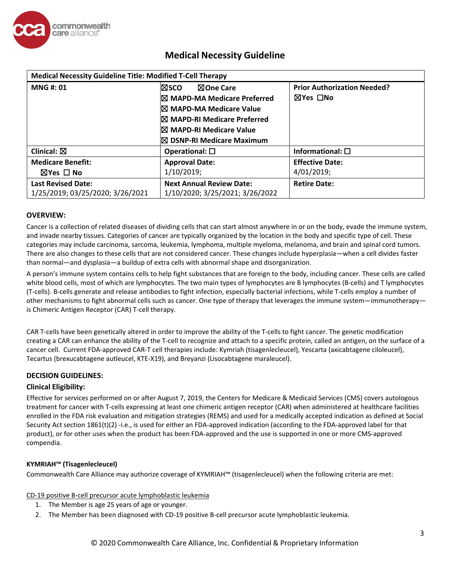

| <b>Medical Necessity Guideline Title: Modified T-Cell Therapy</b> |                                        |                                    |  |  |
|-------------------------------------------------------------------|----------------------------------------|------------------------------------|--|--|
| <b>MNG#: 01</b>                                                   | ⊠sco<br><b>NOne Care</b>               | <b>Prior Authorization Needed?</b> |  |  |
|                                                                   | $\boxtimes$ MAPD-MA Medicare Preferred | ⊠Yes □No                           |  |  |
|                                                                   | $ \boxtimes$ MAPD-MA Medicare Value    |                                    |  |  |
|                                                                   | $\boxtimes$ MAPD-RI Medicare Preferred |                                    |  |  |
|                                                                   | $\boxtimes$ MAPD-RI Medicare Value     |                                    |  |  |
|                                                                   | $\boxtimes$ DSNP-RI Medicare Maximum   |                                    |  |  |
| Clinical: $\boxtimes$                                             | Operational: $\square$                 | Informational: $\square$           |  |  |
| <b>Medicare Benefit:</b>                                          | <b>Approval Date:</b>                  | <b>Effective Date:</b>             |  |  |
| $\boxtimes$ Yes $\Box$ No                                         | 1/10/2019;                             | 4/01/2019;                         |  |  |
| <b>Last Revised Date:</b>                                         | <b>Next Annual Review Date:</b>        | <b>Retire Date:</b>                |  |  |
| 1/25/2019; 03/25/2020; 3/26/2021                                  | 1/10/2020; 3/25/2021; 3/26/2022        |                                    |  |  |

### **OVERVIEW:**

Cancer is a collection of related diseases of dividing cells that can start almost anywhere in or on the body, evade the immune system, and invade nearby tissues. Categories of cancer are typically organized by the location in the body and specific type of cell. These categories may include carcinoma, sarcoma, leukemia, lymphoma, multiple myeloma, melanoma, and brain and spinal cord tumors. There are also changes to these cells that are not considered cancer. These changes include hyperplasia—when a cell divides faster than normal—and dysplasia—a buildup of extra cells with abnormal shape and disorganization.

A person's immune system contains cells to help fight substances that are foreign to the body, including cancer. These cells are called white blood cells, most of which are lymphocytes. The two main types of lymphocytes are B lymphocytes (B-cells) and T lymphocytes (T-cells). B-cells generate and release antibodies to fight infection, especially bacterial infections, while T-cells employ a number of other mechanisms to fight abnormal cells such as cancer. One type of therapy that leverages the immune system—immunotherapy is Chimeric Antigen Receptor (CAR) T-cell therapy.

CAR T-cells have been genetically altered in order to improve the ability of the T-cells to fight cancer. The genetic modification creating a CAR can enhance the ability of the T-cell to recognize and attach to a specific protein, called an antigen, on the surface of a cancer cell. Current FDA-approved CAR-T cell therapies include: Kymriah (tisagenlecleucel), Yescarta (axicabtagene ciloleucel), Tecartus (brexucabtagene autleucel, KTE-X19), and Breyanzi (Lisocabtagene maraleucel).

### **DECISION GUIDELINES:**

### **Clinical Eligibility:**

Effective for services performed on or after August 7, 2019, the Centers for Medicare & Medicaid Services (CMS) covers autologous treatment for cancer with T-cells expressing at least one chimeric antigen receptor (CAR) when administered at healthcare facilities enrolled in the FDA risk evaluation and mitigation strategies (REMS) and used for a medically accepted indication as defined at Social Security Act section 1861(t)(2) -i.e., is used for either an FDA-approved indication (according to the FDA-approved label for that product), or for other uses when the product has been FDA-approved and the use is supported in one or more CMS-approved compendia.

### **KYMRIAH™ (Tisagenlecleucel)**

Commonwealth Care Alliance may authorize coverage of KYMRIAH™ (tisagenlecleucel) when the following criteria are met:

### CD-19 positive B-cell precursor acute lymphoblastic leukemia

- 1. The Member is age 25 years of age or younger.
- 2. The Member has been diagnosed with CD-19 positive B-cell precursor acute lymphoblastic leukemia.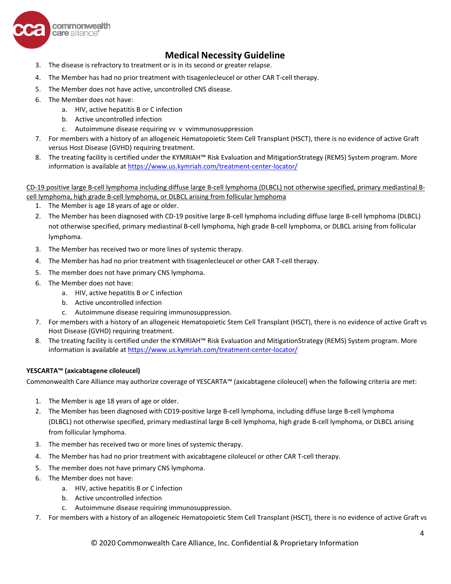

- 3. The disease is refractory to treatment or is in its second or greater relapse.
- 4. The Member has had no prior treatment with tisagenlecleucel or other CAR T-cell therapy.
- 5. The Member does not have active, uncontrolled CNS disease.
- 6. The Member does not have:
	- a. HIV, active hepatitis B or C infection
	- b. Active uncontrolled infection
	- c. Autoimmune disease requiring vv v vvimmunosuppression
- 7. For members with a history of an allogeneic Hematopoietic Stem Cell Transplant (HSCT), there is no evidence of active Graft versus Host Disease (GVHD) requiring treatment.
- 8. The treating facility is certified under the KYMRIAH™ Risk Evaluation and MitigationStrategy (REMS) System program. More information is available at <https://www.us.kymriah.com/treatment-center-locator/>

CD-19 positive large B-cell lymphoma including diffuse large B-cell lymphoma (DLBCL) not otherwise specified, primary mediastinal Bcell lymphoma, high grade B-cell lymphoma, or DLBCL arising from follicular lymphoma

- 1. The Member is age 18 years of age or older.
- 2. The Member has been diagnosed with CD-19 positive large B-cell lymphoma including diffuse large B-cell lymphoma (DLBCL) not otherwise specified, primary mediastinal B-cell lymphoma, high grade B-cell lymphoma, or DLBCL arising from follicular lymphoma.
- 3. The Member has received two or more lines of systemic therapy.
- 4. The Member has had no prior treatment with tisagenlecleucel or other CAR T-cell therapy.
- 5. The member does not have primary CNS lymphoma.
- 6. The Member does not have:
	- a. HIV, active hepatitis B or C infection
	- b. Active uncontrolled infection
	- c. Autoimmune disease requiring immunosuppression.
- 7. For members with a history of an allogeneic Hematopoietic Stem Cell Transplant (HSCT), there is no evidence of active Graft vs Host Disease (GVHD) requiring treatment.
- 8. The treating facility is certified under the KYMRIAH™ Risk Evaluation and MitigationStrategy (REMS) System program. More information is available at <https://www.us.kymriah.com/treatment-center-locator/>

### **YESCARTA™ (axicabtagene ciloleucel)**

Commonwealth Care Alliance may authorize coverage of YESCARTA™ (axicabtagene ciloleucel) when the following criteria are met:

- 1. The Member is age 18 years of age or older.
- 2. The Member has been diagnosed with CD19-positive large B-cell lymphoma, including diffuse large B-cell lymphoma (DLBCL) not otherwise specified, primary mediastinal large B-cell lymphoma, high grade B-cell lymphoma, or DLBCL arising from follicular lymphoma.
- 3. The member has received two or more lines of systemic therapy.
- 4. The Member has had no prior treatment with axicabtagene ciloleucel or other CAR T-cell therapy.
- 5. The member does not have primary CNS lymphoma.
- 6. The Member does not have:
	- a. HIV, active hepatitis B or C infection
	- b. Active uncontrolled infection
	- c. Autoimmune disease requiring immunosuppression.
- 7. For members with a history of an allogeneic Hematopoietic Stem Cell Transplant (HSCT), there is no evidence of active Graft vs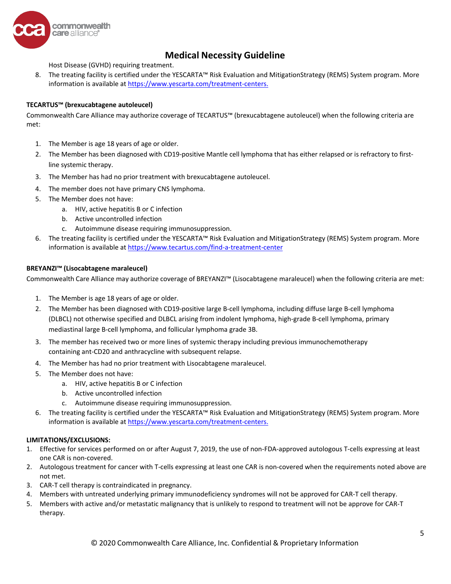

Host Disease (GVHD) requiring treatment.

8. The treating facility is certified under the YESCARTA™ Risk Evaluation and MitigationStrategy (REMS) System program. More information is available at [https://www.yescarta.com/treatment-centers.](https://www.us.kymriah.com/treatment-center-locator/)

### **TECARTUS™ (brexucabtagene autoleucel)**

Commonwealth Care Alliance may authorize coverage of TECARTUS™ (brexucabtagene autoleucel) when the following criteria are met:

- 1. The Member is age 18 years of age or older.
- 2. The Member has been diagnosed with CD19-positive Mantle cell lymphoma that has either relapsed or is refractory to firstline systemic therapy.
- 3. The Member has had no prior treatment with brexucabtagene autoleucel.
- 4. The member does not have primary CNS lymphoma.
- 5. The Member does not have:
	- a. HIV, active hepatitis B or C infection
	- b. Active uncontrolled infection
	- c. Autoimmune disease requiring immunosuppression.
- 6. The treating facility is certified under the YESCARTA™ Risk Evaluation and MitigationStrategy (REMS) System program. More information is available at <https://www.tecartus.com/find-a-treatment-center>

### **BREYANZI™ (Lisocabtagene maraleucel)**

Commonwealth Care Alliance may authorize coverage of BREYANZI™ (Lisocabtagene maraleucel) when the following criteria are met:

- 1. The Member is age 18 years of age or older.
- 2. The Member has been diagnosed with CD19-positive large B-cell lymphoma, including diffuse large B-cell lymphoma (DLBCL) not otherwise specified and DLBCL arising from indolent lymphoma, high-grade B-cell lymphoma, primary mediastinal large B-cell lymphoma, and follicular lymphoma grade 3B.
- 3. The member has received two or more lines of systemic therapy including previous immunochemotherapy containing ant-CD20 and anthracycline with subsequent relapse.
- 4. The Member has had no prior treatment with Lisocabtagene maraleucel.
- 5. The Member does not have:
	- a. HIV, active hepatitis B or C infection
	- b. Active uncontrolled infection
	- c. Autoimmune disease requiring immunosuppression.
- 6. The treating facility is certified under the YESCARTA™ Risk Evaluation and MitigationStrategy (REMS) System program. More information is available at [https://www.yescarta.com/treatment-centers.](https://www.us.kymriah.com/treatment-center-locator/)

### **LIMITATIONS/EXCLUSIONS:**

- 1. Effective for services performed on or after August 7, 2019, the use of non-FDA-approved autologous T-cells expressing at least one CAR is non-covered.
- 2. Autologous treatment for cancer with T-cells expressing at least one CAR is non-covered when the requirements noted above are not met.
- 3. CAR-T cell therapy is contraindicated in pregnancy.
- 4. Members with untreated underlying primary immunodeficiency syndromes will not be approved for CAR-T cell therapy.
- 5. Members with active and/or metastatic malignancy that is unlikely to respond to treatment will not be approve for CAR-T therapy.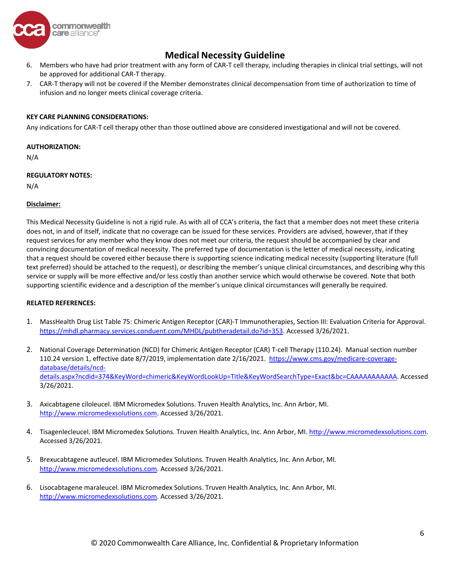

- 6. Members who have had prior treatment with any form of CAR-T cell therapy, including therapies in clinical trial settings, will not be approved for additional CAR-T therapy.
- 7. CAR-T therapy will not be covered if the Member demonstrates clinical decompensation from time of authorization to time of infusion and no longer meets clinical coverage criteria.

#### **KEY CARE PLANNING CONSIDERATIONS:**

Any indications for CAR-T cell therapy other than those outlined above are considered investigational and will not be covered.

#### **AUTHORIZATION:**

N/A

### **REGULATORY NOTES:**

N/A

### **Disclaimer:**

This Medical Necessity Guideline is not a rigid rule. As with all of CCA's criteria, the fact that a member does not meet these criteria does not, in and of itself, indicate that no coverage can be issued for these services. Providers are advised, however, that if they request services for any member who they know does not meet our criteria, the request should be accompanied by clear and convincing documentation of medical necessity. The preferred type of documentation is the letter of medical necessity, indicating that a request should be covered either because there is supporting science indicating medical necessity (supporting literature (full text preferred) should be attached to the request), or describing the member's unique clinical circumstances, and describing why this service or supply will be more effective and/or less costly than another service which would otherwise be covered. Note that both supporting scientific evidence and a description of the member's unique clinical circumstances will generally be required.

#### **RELATED REFERENCES:**

- 1. MassHealth Drug List Table 75: Chimeric Antigen Receptor (CAR)-T Immunotherapies, Section III: Evaluation Criteria for Approval. [https://mhdl.pharmacy.services.conduent.com/MHDL/pubtheradetail.do?id=353.](https://mhdl.pharmacy.services.conduent.com/MHDL/pubtheradetail.do?id=353) Accessed 3/26/2021.
- 2. National Coverage Determination (NCD) for Chimeric Antigen Receptor (CAR) T-cell Therapy (110.24). Manual section number 110.24 version 1, effective date 8/7/2019, implementation date 2/16/2021. [https://www.cms.gov/medicare-coverage](https://www.cms.gov/medicare-coverage-database/details/ncd-details.aspx?ncdid=374&KeyWord=chimeric&KeyWordLookUp=Title&KeyWordSearchType=Exact&bc=CAAAAAAAAAAA)[database/details/ncd](https://www.cms.gov/medicare-coverage-database/details/ncd-details.aspx?ncdid=374&KeyWord=chimeric&KeyWordLookUp=Title&KeyWordSearchType=Exact&bc=CAAAAAAAAAAA)[details.aspx?ncdid=374&KeyWord=chimeric&KeyWordLookUp=Title&KeyWordSearchType=Exact&bc=CAAAAAAAAAAA.](https://www.cms.gov/medicare-coverage-database/details/ncd-details.aspx?ncdid=374&KeyWord=chimeric&KeyWordLookUp=Title&KeyWordSearchType=Exact&bc=CAAAAAAAAAAA) Accessed 3/26/2021.
- 3. Axicabtagene ciloleucel. IBM Micromedex Solutions. Truven Health Analytics, Inc. Ann Arbor, MI. [http://www.micromedexsolutions.com.](http://www.micromedexsolutions.com/) Accessed 3/26/2021.
- 4. Tisagenlecleucel. IBM Micromedex Solutions. Truven Health Analytics, Inc. Ann Arbor, MI. [http://www.micromedexsolutions.com.](http://www.micromedexsolutions.com/) Accessed 3/26/2021.
- 5. Brexucabtagene autleucel. IBM Micromedex Solutions. Truven Health Analytics, Inc. Ann Arbor, MI. [http://www.micromedexsolutions.com.](http://www.micromedexsolutions.com/) Accessed 3/26/2021.
- 6. Lisocabtagene maraleucel. IBM Micromedex Solutions. Truven Health Analytics, Inc. Ann Arbor, MI. [http://www.micromedexsolutions.com.](http://www.micromedexsolutions.com/) Accessed 3/26/2021.